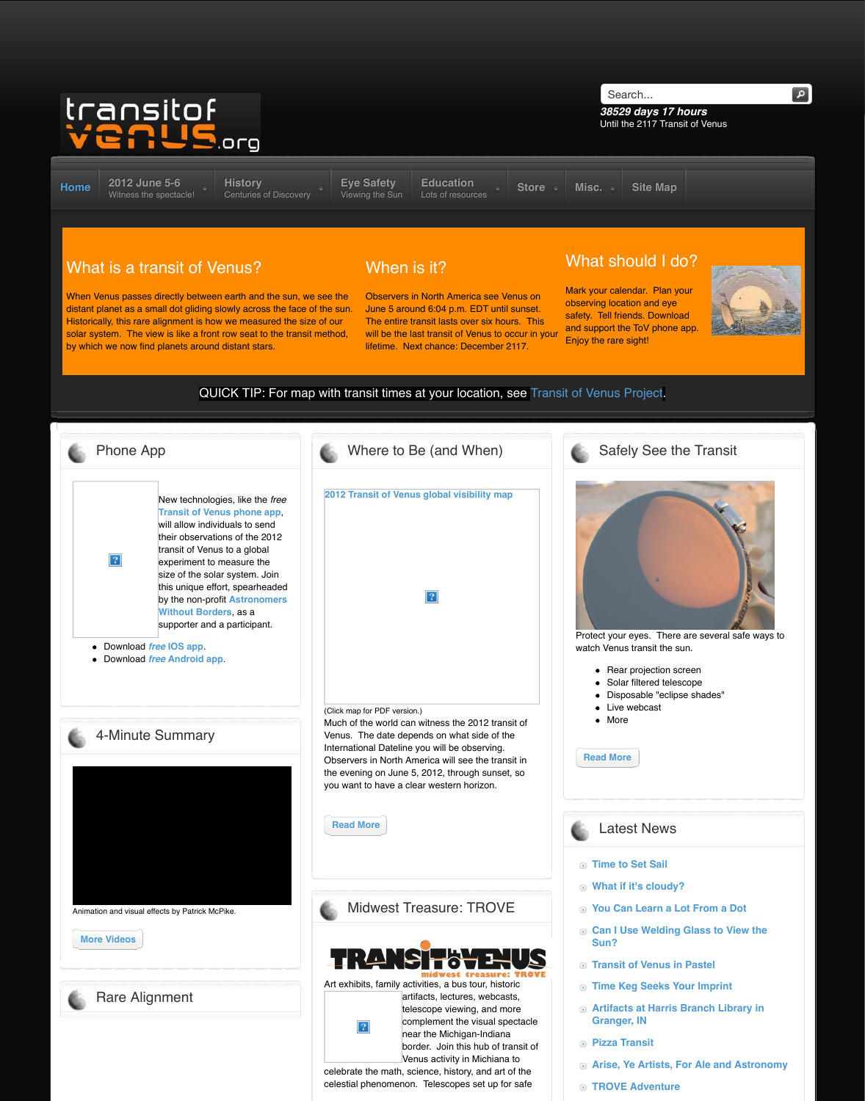New technologies, like the *free* **Transit of Venus phone app**, will allow individuals to send their observations of the 2012 transit of Venus to a global experiment to measure the size of the solar system. Join this unique effort, spearheaded by the non-profit **Astronomers Without Borders**, as a supporter and a participant.

Download *free* **IOS app**.

 $|2|$ 

Download *free* **[Android ap](http://web.archive.org/web/20120613214345/http://www.transitofvenus.org/june2012)[p](http://web.archive.org/web/20120613214345/http://www.transitofvenus.org/history)**.



Animation and visual effects by Patrick McPike.

**More Videos**



**2012 Transit of Venus global visibily**  $|2|$ (Click map for PDF version.)

Much of the world can witness the 20 Venus. The date depends on what si International Dateline you will be observing. Observers in North America will see the transition the evening on June 5, 2012, through you want to have a clear western hor

**Read More**

Midwest Treasure: TI



Art exhibits, family activities, a bus to

 $|2|$ 

artifacts, lectures, telescope viewing, complement the vi near the Michiganborder. Join this h Venus activity in M

celebrate the math, science, history, and are of the math, science, the theory, and are of the theory. celestial phenomenon. Telescopes s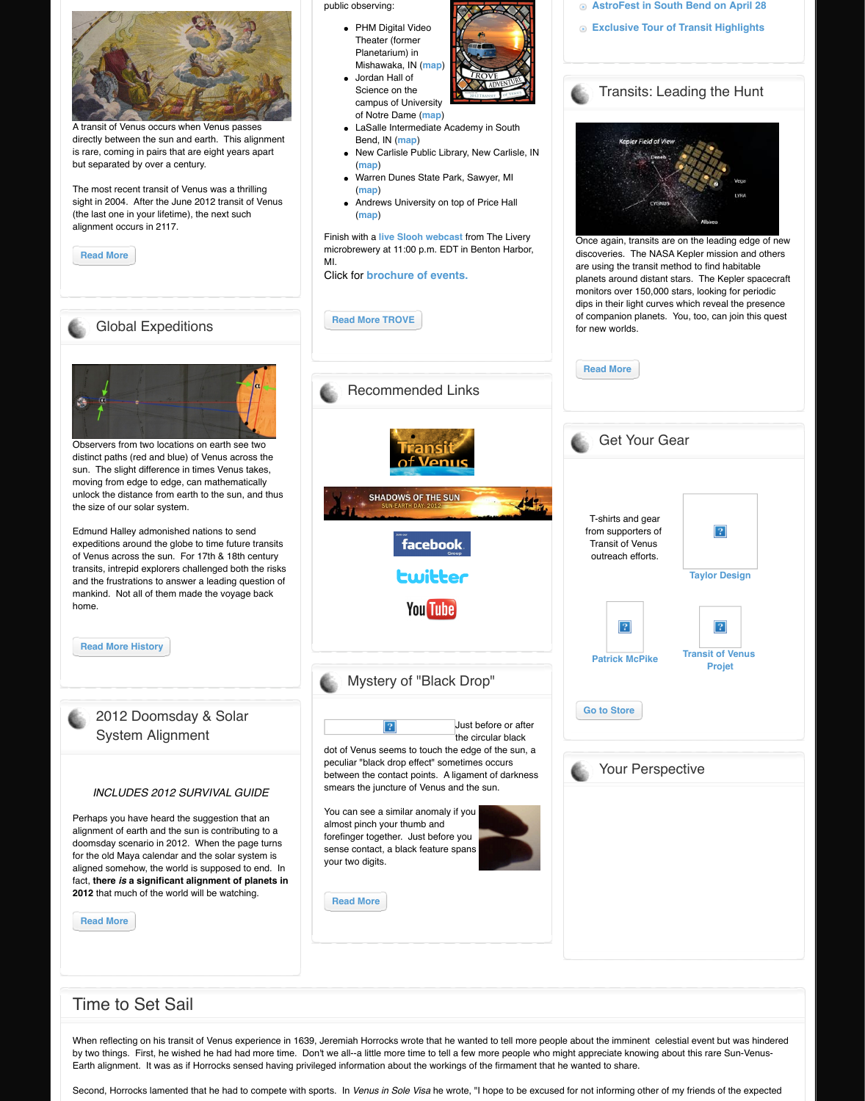moving from edge to edge, can mathematically unlock the distance from earth to the sun, and thus the size of our solar system.

Edmund Halley admonished nations to send expeditions around the globe to time future transits of Venus across the sun. For 17th & 18th century transits, intrepid explorers challenged both the risks and the frustrations to answer a leading question of mankind. Not all of them made the voyage back home.

**Read More History**

2012 Doomsday & Solar [System](http://web.archive.org/web/20120613214345/http://www.transitofvenus.org/education/science-math/141-rare-alignment) Alignment

#### *INCLUDES 2012 SURVIVAL GUIDE*

Perhaps you have heard the suggestion that an alignment of earth and the sun is contributing to a doomsday scenario in 2012. When the page turns for the old Maya calendar and the solar system is aligned somehow, the world is supposed to end. In fact, **there** *is* **a significant alignment of planets in 2012** that much of the world will be watching.

**Read More**



#### Time to Set Sail

When reflecting on his transit of Venus experience in 1639, Jeremiah Horroc[ks wrote that he wan](http://web.archive.org/web/20120613214345/http://www.facebook.com/groups/108400462513165/)t by two things. First, he wished he had had more time. Don't we all--a little m[ore time to tell a fe](http://web.archive.org/web/20120613214345/https://twitter.com/#!/tov2012)w Earth alignment. It was as if Horrocks sensed having privileged information about the workings of

Second, Horrocks lamented that he had to compete with sports. In *Venus in Sole Visa* [he wro](http://web.archive.org/web/20120613214345/http://www.youtube.com/user/transitvenus)te, "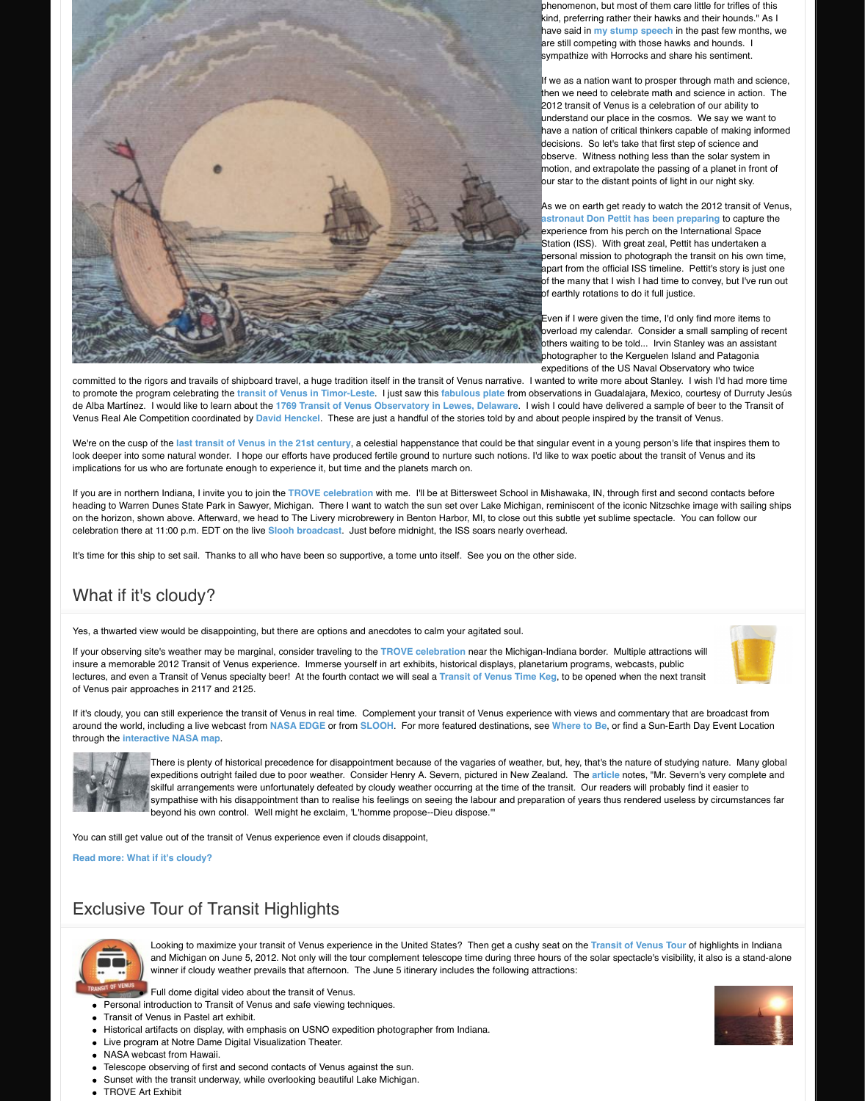If you are in northern Indiana, I invite you to join the TROVE celebration with me. I'll be at Bitters heading to Warren Dunes State Park in Sawyer, Michigan. There I want to watch the sun set over on the horizon, shown above. Afterward, we head to The Livery microbrewery in Benton Harbor, M celebration there at 11:00 p.m. EDT on the live Slooh broadcast. Just before midnight, the ISS s

It's time for this ship to set sail. Thanks to all who have been so supportive, a tome unto itself. Se

## What if it's cloudy?

Yes, a thwarted view would be disappointing, but there are options and anecdotes to calm your ag

If your observing site's weather may be marginal, consider traveling to the TROVE celebration ne insure a memorable 2012 Transit of Venus experience. Immerse yourself in art exhibits, historical lectures, and even a Transit of Venus specialty beer! At the fourth contact we will seal a Transit o of Venus pair approaches in 2117 and 2125.

If it's cloudy, you can still experience the transit of Venus in real time. Complement your transit of around the world, including a live webcast from **NASA EDGE** or from **SLOOH**. For more featured through the **interactive NASA map**.



There is plenty of historical precedence for disappointment because of the vaga expeditions outright failed due to poor weather. Consider Henry A. Severn, pict skilful arrangements were unfortunately defeated by cloudy weather occurring at the transitional sympathise with his disappointment than to realise his feelings on seeing the la beyond his own control. Well might he exclaim, 'L'homme propose--Dieu dispo

You can still get value out of the transit of Venus experience even if clouds disappoint,

**Read more: What if it's cloudy?**

### Exclusive Tour of Transi[t Highligh](http://web.archive.org/web/20120613214345/http://www.a-n.co.uk/artists_talking/projects/single/1832928)ts



Looking to maximize your transit of Venus experience in the United States? The and Michigan on June 5, 2012. Not only will the tour complement telescope tim winner if cloudy weather prevails [that afternoon. The](http://web.archive.org/web/20120613214345/http://www.transitofvenus.org/trove) June 5 itinerary includes the following atternactions.

Full dome digital video about the transit of Venus.

- Personal introduction to Transit of Ven[us and safe viewing](http://web.archive.org/web/20120613214345/http://events.slooh.com/) techniques.
- Transit of Venus in Pastel art exhibit.
- Historical artifacts on display, with emphasis on USNO expedition photographer from India
- Live program at Notre Dame Digital Visualization Theater.
- NASA webcast from Hawaii.
- Telescope observing of first and second contacts of Venus against the sun.
- [Sunset with the transit unde](http://web.archive.org/web/20120613214345/http://www.transitofvenus.org/june2012/where-to-be/302-what-if-its-cloudy)rway, while overlooking beautiful Lake Michigan.
- **TROVE Art Exhibit**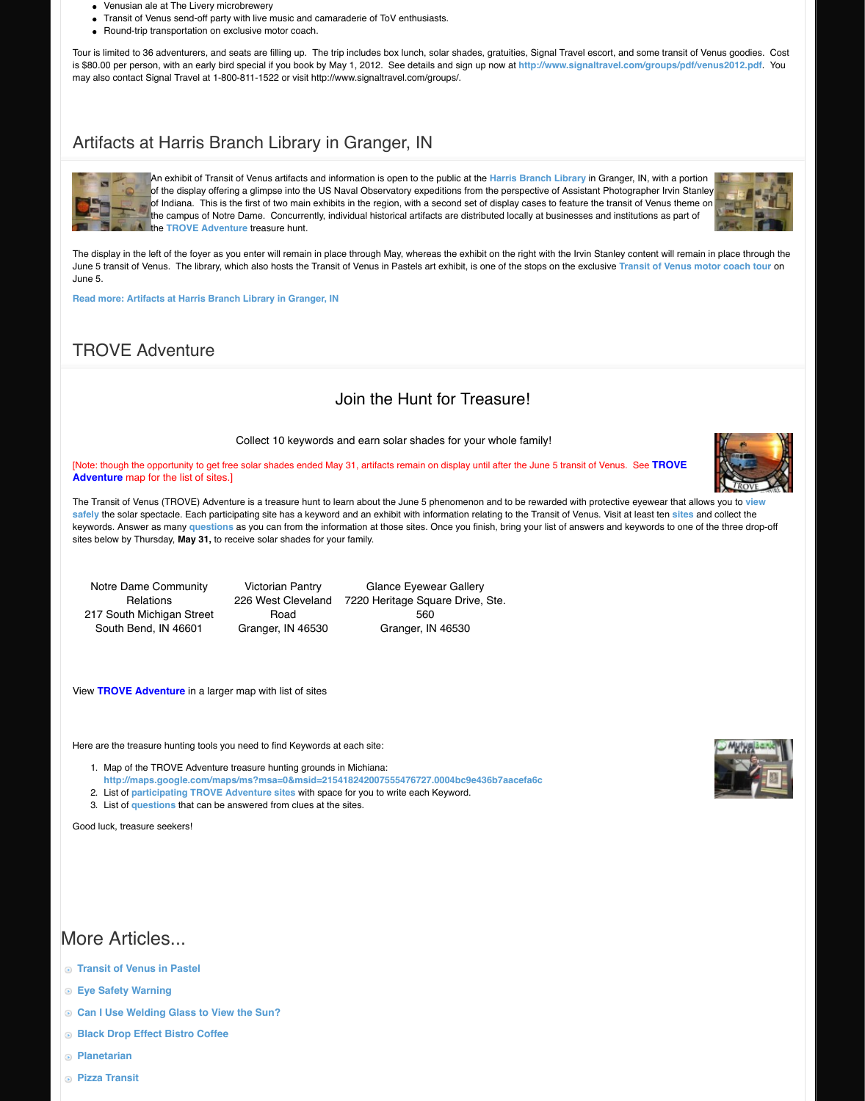**Adventure** map for the list of sites.]

The Transit of Venus (TROVE) Adventure is a treasure hunt to learn about the June 5 phenomenon **safely** the solar spectacle. Each participating site has a keyword and an exhibit with information re keywords. Answer as many questions as you can from the information at those sites. Once you fi sites below by Thursday, **May 31,** to receive solar shades for your family.

Notre Dame Community **Relations** 217 South Michigan Street [South Bend, IN 46601](http://web.archive.org/web/20120613214345/http://www.transitofvenus.org/component/content/article/81-events/351-artifacts-at-harris-branch-library)

Victorian Pantry 226 West Cleveland Road Granger, IN 46530

**Glance Eyewear Galler** 7220 Heritage Square Drive 560 Granger, IN 46530

View **TROVE Adventure** in a larger map with list of sites

Here are the treasure hunting tools you need to find Keywords at each site:

- 1. Map of the TROVE Adventure treasure hunting grounds in Michiana: [http://maps.google.com/maps/ms?msa=0&msid=2154](http://web.archive.org/web/20120613214345/http://www.transitofvenus.org/component/content/article/81-events/351-artifacts-at-harris-branch-library)18242007555476727.0004bc9e
- 2. List of **participating TROVE Adventure sites** with space for you to write each Keyword.
- 3. List of **questions** that can be answered from clues at the sites.

[Good luck, treasure seekers!](http://web.archive.org/web/20120613214345/http://www.transitofvenus.org/misc/347-trove-adventure)

# [More Articles...](http://web.archive.org/web/20120613214345/http://maps.google.com/maps/ms?msa=0&msid=215418242007555476727.0004bc9e436b7aacefa6c&ie=UTF8&t=m&source=embed&ll=41.889239,-86.240342&spn=0.45765,0.702454)

- **Transit of Venus in Pastel**
- **[Eye Safety Warning](http://web.archive.org/web/20120613214345/http://www.transitofvenus.org/june2012/eye-safety)**
- **Can I Use Welding Gla[ss to View](http://web.archive.org/web/20120613214345/http://www.transitofvenus.org/docs/Questions-only_2012-04-26_17:02.pdf) the Sun?**
- **Black Drop Effect Bistro Coffee**
- **Planetarian**
- **Pizza Transit**